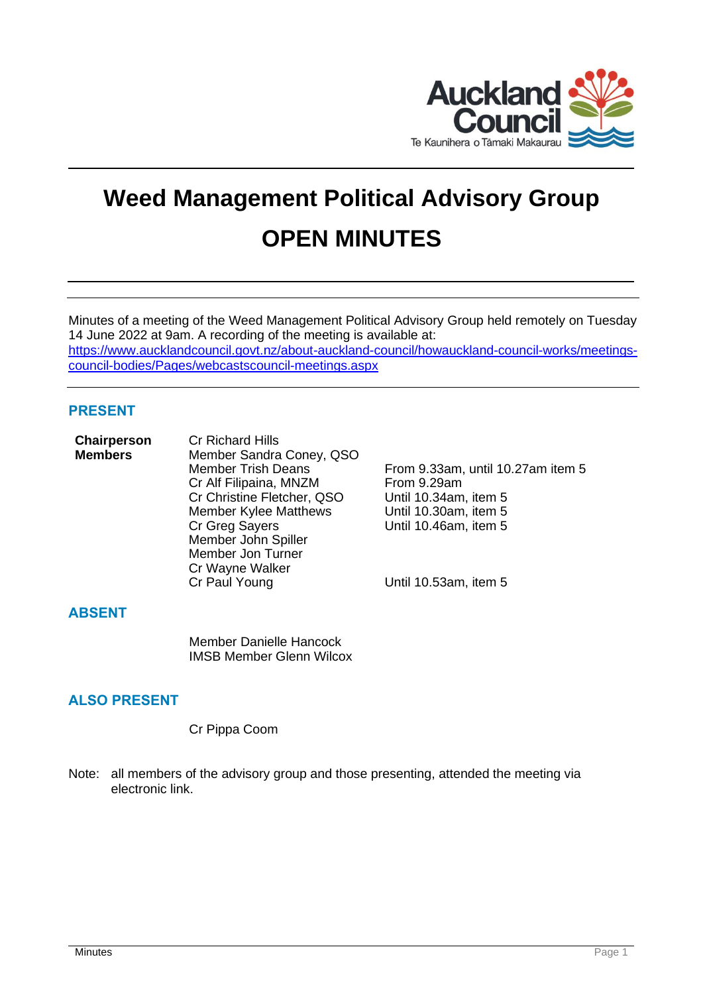

# **Weed Management Political Advisory Group OPEN MINUTES**

Minutes of a meeting of the Weed Management Political Advisory Group held remotely on Tuesday 14 June 2022 at 9am. A recording of the meeting is available at: [https://www.aucklandcouncil.govt.nz/about-auckland-council/howauckland-council-works/meetings](https://www.aucklandcouncil.govt.nz/about-auckland-council/howauckland-council-works/meetings-council-bodies/Pages/webcastscouncil-meetings.aspx)[council-bodies/Pages/webcastscouncil-meetings.aspx](https://www.aucklandcouncil.govt.nz/about-auckland-council/howauckland-council-works/meetings-council-bodies/Pages/webcastscouncil-meetings.aspx)

# **PRESENT**

| <b>Chairperson</b> | <b>Cr Richard Hills</b>      |
|--------------------|------------------------------|
| <b>Members</b>     | Member Sandra Coney, QSO     |
|                    | <b>Member Trish Deans</b>    |
|                    | Cr Alf Filipaina, MNZM       |
|                    | Cr Christine Fletcher, QSO   |
|                    | <b>Member Kylee Matthews</b> |
|                    | Cr Greg Sayers               |
|                    | Member John Spiller          |
|                    | Member Jon Turner            |
|                    | Cr Wayne Walker              |
|                    | Cr Paul Young                |
|                    |                              |

From 9.33am, until 10.27am item 5 From 9.29am Until 10.34am, item 5 Until 10.30am, item 5 Until 10.46am, item 5

Until 10.53am, item 5

#### **ABSENT**

Member Danielle Hancock IMSB Member Glenn Wilcox

# **ALSO PRESENT**

Cr Pippa Coom

Note: all members of the advisory group and those presenting, attended the meeting via electronic link.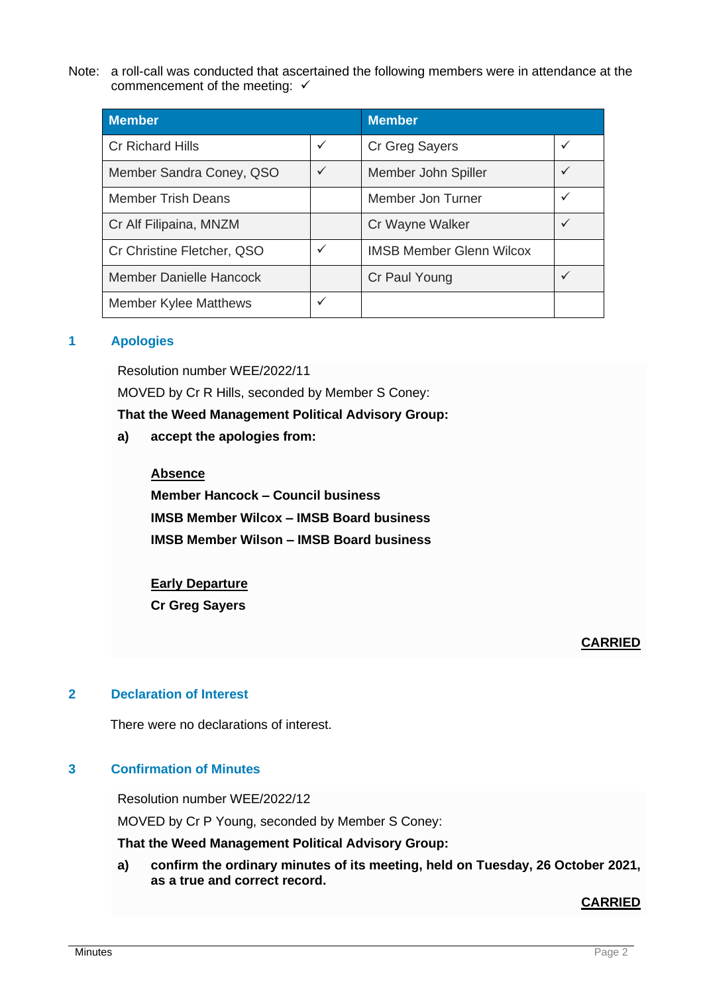Note: a roll-call was conducted that ascertained the following members were in attendance at the commencement of the meeting:  $√$ 

| <b>Member</b>                  | <b>Member</b> |                                 |              |
|--------------------------------|---------------|---------------------------------|--------------|
| <b>Cr Richard Hills</b>        | $\checkmark$  | Cr Greg Sayers                  | $\checkmark$ |
| Member Sandra Coney, QSO       | $\checkmark$  | Member John Spiller             | $\checkmark$ |
| <b>Member Trish Deans</b>      |               | Member Jon Turner               | $\checkmark$ |
| Cr Alf Filipaina, MNZM         |               | Cr Wayne Walker                 |              |
| Cr Christine Fletcher, QSO     | $\checkmark$  | <b>IMSB Member Glenn Wilcox</b> |              |
| <b>Member Danielle Hancock</b> |               | Cr Paul Young                   | $\checkmark$ |
| <b>Member Kylee Matthews</b>   | $\checkmark$  |                                 |              |

#### **1 Apologies**

Resolution number WEE/2022/11

MOVED by Cr R Hills, seconded by Member S Coney:

**That the Weed Management Political Advisory Group:**

**a) accept the apologies from:**

#### **Absence**

**Member Hancock – Council business IMSB Member Wilcox – IMSB Board business IMSB Member Wilson – IMSB Board business**

#### **Early Departure**

**Cr Greg Sayers**

# **CARRIED**

## **2 Declaration of Interest**

There were no declarations of interest.

# **3 Confirmation of Minutes**

Resolution number WEE/2022/12

MOVED by Cr P Young, seconded by Member S Coney:

**That the Weed Management Political Advisory Group:**

**a) confirm the ordinary minutes of its meeting, held on Tuesday, 26 October 2021, as a true and correct record.**

**CARRIED**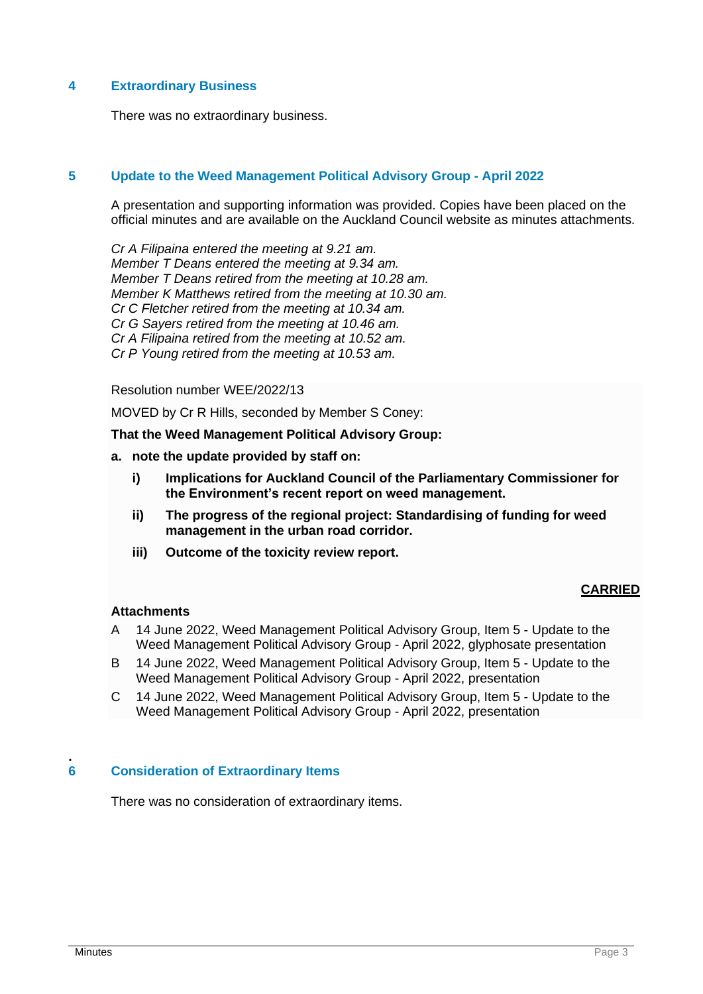## **4 Extraordinary Business**

There was no extraordinary business.

## **5 Update to the Weed Management Political Advisory Group - April 2022**

A presentation and supporting information was provided. Copies have been placed on the official minutes and are available on the Auckland Council website as minutes attachments.

*Cr A Filipaina entered the meeting at 9.21 am. Member T Deans entered the meeting at 9.34 am. Member T Deans retired from the meeting at 10.28 am. Member K Matthews retired from the meeting at 10.30 am. Cr C Fletcher retired from the meeting at 10.34 am. Cr G Sayers retired from the meeting at 10.46 am. Cr A Filipaina retired from the meeting at 10.52 am. Cr P Young retired from the meeting at 10.53 am.*

Resolution number WEE/2022/13

MOVED by Cr R Hills, seconded by Member S Coney:

**That the Weed Management Political Advisory Group:**

- **a. note the update provided by staff on:**
	- **i) Implications for Auckland Council of the Parliamentary Commissioner for the Environment's recent report on weed management.**
	- **ii) The progress of the regional project: Standardising of funding for weed management in the urban road corridor.**
	- **iii) Outcome of the toxicity review report.**

# **CARRIED**

#### **Attachments**

- A 14 June 2022, Weed Management Political Advisory Group, Item 5 Update to the Weed Management Political Advisory Group - April 2022, glyphosate presentation
- B 14 June 2022, Weed Management Political Advisory Group, Item 5 Update to the Weed Management Political Advisory Group - April 2022, presentation
- C 14 June 2022, Weed Management Political Advisory Group, Item 5 Update to the Weed Management Political Advisory Group - April 2022, presentation

#### **. 6 Consideration of Extraordinary Items**

There was no consideration of extraordinary items.